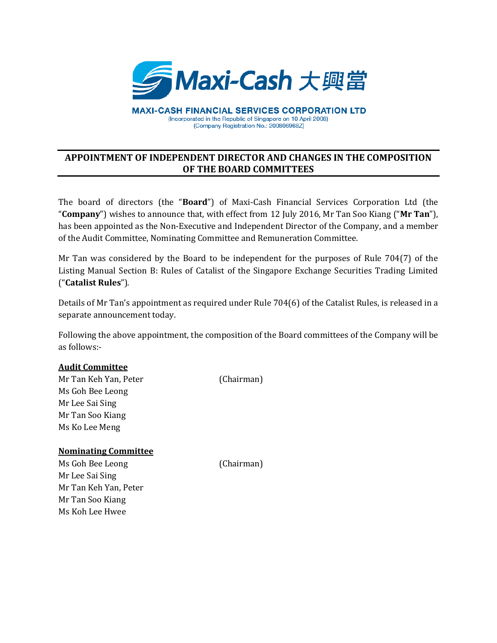

**MAXI-CASH FINANCIAL SERVICES CORPORATION LTD** (Incorporated in the Republic of Singapore on 10 April 2008) (Company Registration No.: 200806968Z)

## **APPOINTMENT OF INDEPENDENT DIRECTOR AND CHANGES IN THE COMPOSITION OF THE BOARD COMMITTEES**

The board of directors (the "**Board**") of Maxi-Cash Financial Services Corporation Ltd (the "**Company**") wishes to announce that, with effect from 12 July 2016, Mr Tan Soo Kiang ("**Mr Tan**"), has been appointed as the Non-Executive and Independent Director of the Company, and a member of the Audit Committee, Nominating Committee and Remuneration Committee.

Mr Tan was considered by the Board to be independent for the purposes of Rule 704(7) of the Listing Manual Section B: Rules of Catalist of the Singapore Exchange Securities Trading Limited ("**Catalist Rules**").

Details of Mr Tan's appointment as required under Rule 704(6) of the Catalist Rules, is released in a separate announcement today.

Following the above appointment, the composition of the Board committees of the Company will be as follows:-

## **Audit Committee**

Mr Tan Keh Yan, Peter (Chairman) Ms Goh Bee Leong Mr Lee Sai Sing Mr Tan Soo Kiang Ms Ko Lee Meng

## **Nominating Committee**

Ms Goh Bee Leong (Chairman) Mr Lee Sai Sing Mr Tan Keh Yan, Peter Mr Tan Soo Kiang Ms Koh Lee Hwee